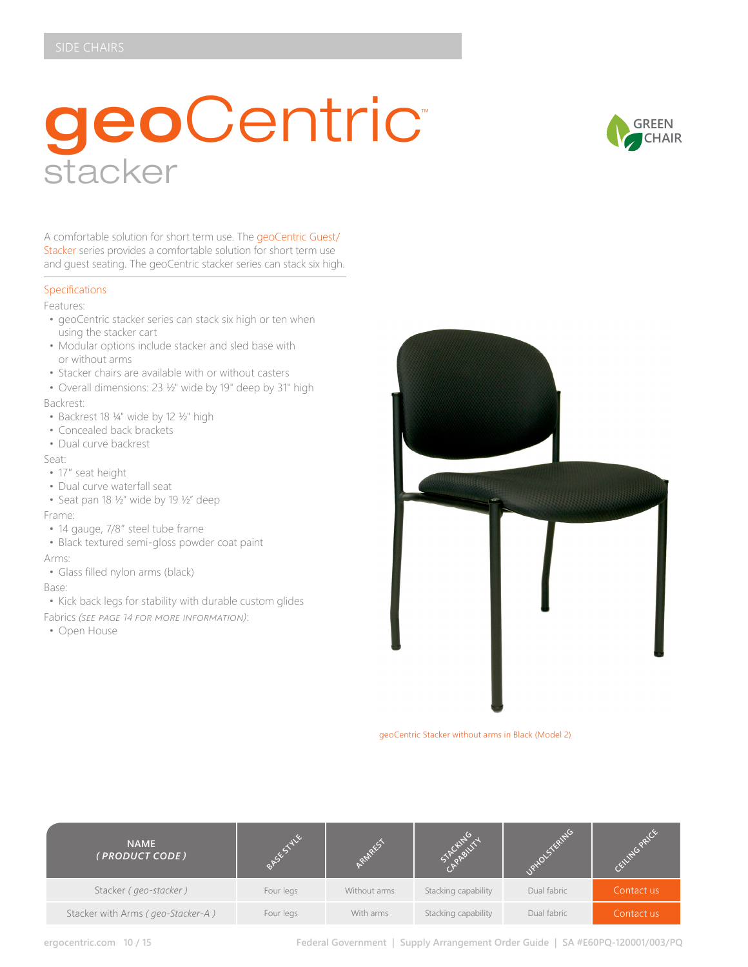# geoCentric™ stacker



A comfortable solution for short term use. The geoCentric Guest/ Stacker series provides a comfortable solution for short term use and guest seating. The geoCentric stacker series can stack six high.

### Specifications

Features:

- geoCentric stacker series can stack six high or ten when using the stacker cart
- Modular options include stacker and sled base with or without arms
- Stacker chairs are available with or without casters
- Overall dimensions: 23 ½" wide by 19" deep by 31" high

Backrest:

- Backrest 18 ¼" wide by 12 ½" high
- Concealed back brackets
- Dual curve backrest

Seat:

- 17" seat height
- Dual curve waterfall seat
- Seat pan 18 ½" wide by 19 ½" deep Frame:
- 14 gauge, 7/8″ steel tube frame
- Black textured semi-gloss powder coat paint

Arms:

• Glass filled nylon arms (black)

Base:

- Kick back legs for stability with durable custom glides
- Fabrics *(see page 14 for more information)*:
- Open House



geoCentric Stacker without arms in Black (Model 2)

| <b>NAME</b><br>(PRODUCT CODE)     |           |              |                     |             |            |
|-----------------------------------|-----------|--------------|---------------------|-------------|------------|
| Stacker (geo-stacker)             | Four legs | Without arms | Stacking capability | Dual fabric | Contact us |
| Stacker with Arms (geo-Stacker-A) | Four legs | With arms    | Stacking capability | Dual fabric | Contact us |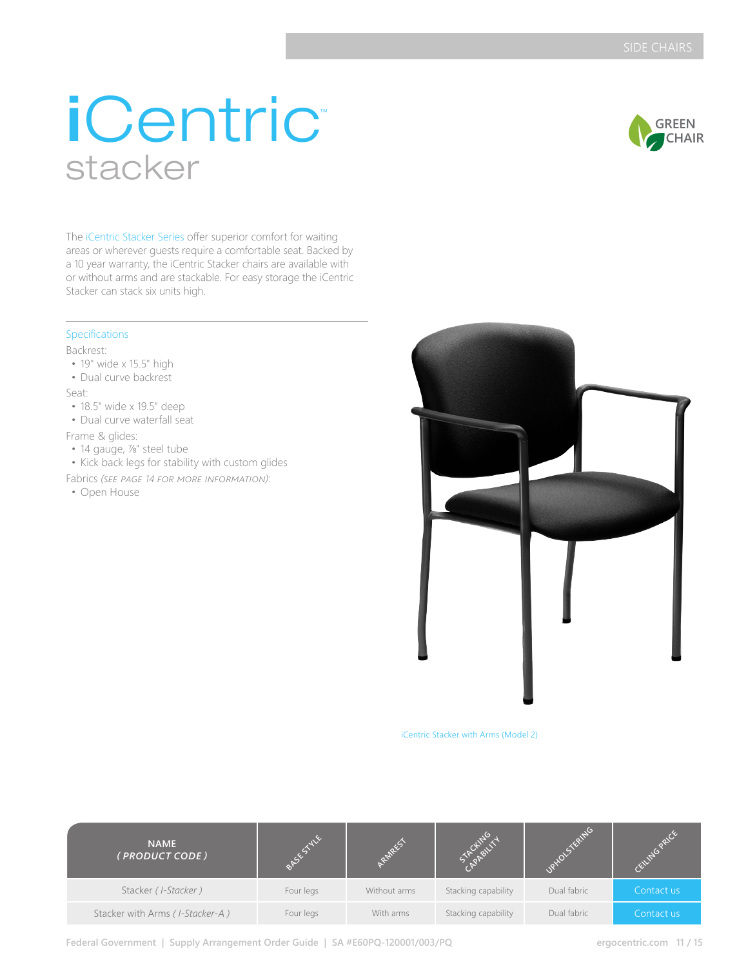# iCentric™ stacker



The iCentric Stacker Series offer superior comfort for waiting areas or wherever guests require a comfortable seat. Backed by a 10 year warranty, the iCentric Stacker chairs are available with or without arms and are stackable. For easy storage the iCentric Stacker can stack six units high.

## Specifications

Backrest:

- 19" wide x 15.5" high
- Dual curve backrest

Seat:

- 18.5" wide x 19.5" deep
- Dual curve waterfall seat

Frame & glides:

• 14 gauge, %" steel tube

• Kick back legs for stability with custom glides

- Fabrics *(see page 14 for more information)*:
- Open House



iCentric Stacker with Arms (Model 2)